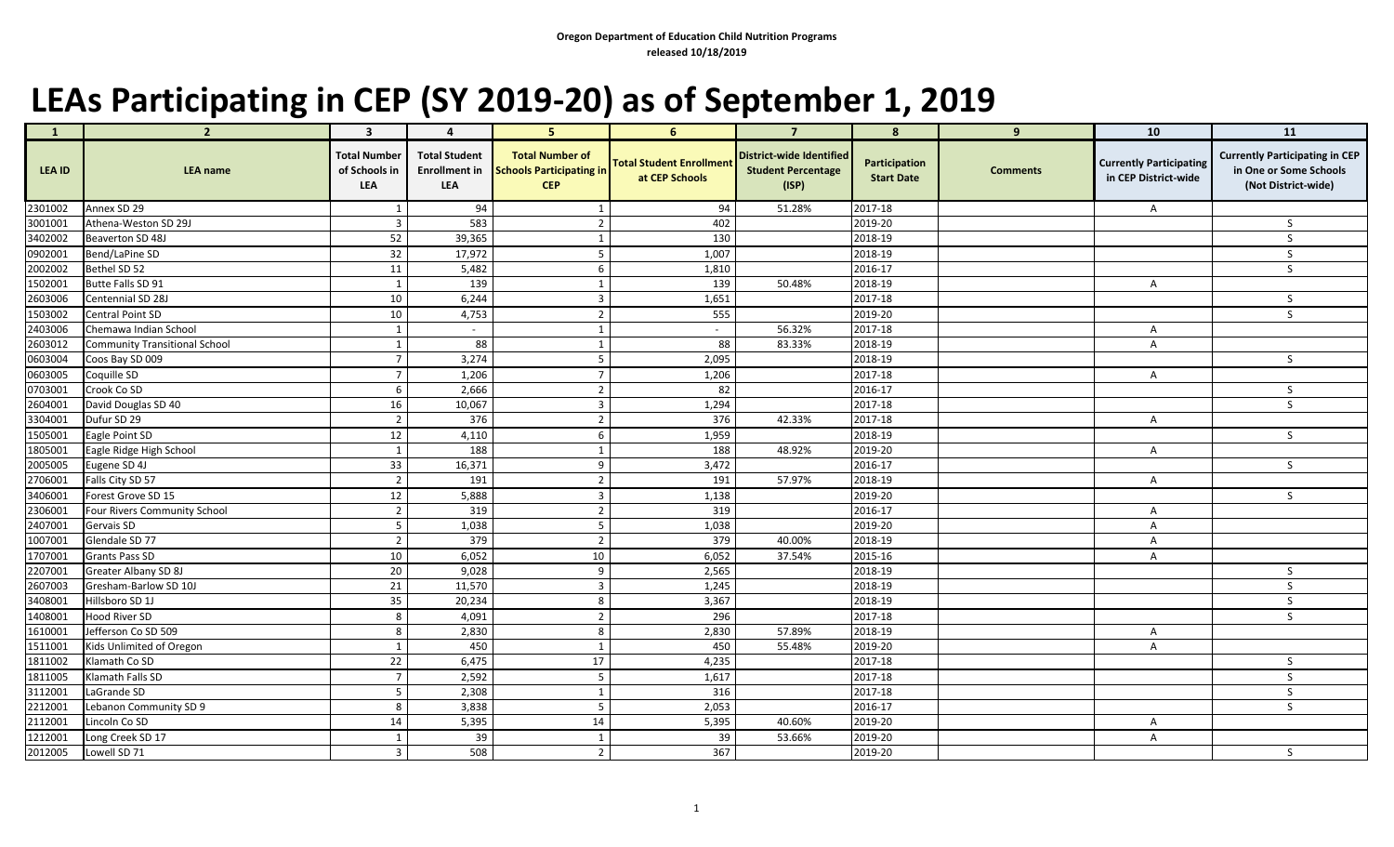## **LEAs Participating in CEP (SY 2019-20) as of September 1, 2019**

| $\mathbf{1}$ | $\overline{2}$                | $\overline{\mathbf{3}}$                            | $\mathbf 4$                        | 5 <sup>1</sup>                                                                 | 6 <sup>1</sup>                                    | $\overline{7}$                                                        | 8                                  | 9               | 10                                                     | 11                                                                                     |
|--------------|-------------------------------|----------------------------------------------------|------------------------------------|--------------------------------------------------------------------------------|---------------------------------------------------|-----------------------------------------------------------------------|------------------------------------|-----------------|--------------------------------------------------------|----------------------------------------------------------------------------------------|
| LEA ID       | <b>LEA name</b>               | <b>Total Number</b><br>of Schools in<br><b>LEA</b> | <b>Total Student</b><br><b>LEA</b> | <b>Total Number of</b><br>Enrollment in Schools Participating in<br><b>CEP</b> | <b>Total Student Enrollment</b><br>at CEP Schools | <b>District-wide Identified</b><br><b>Student Percentage</b><br>(ISP) | Participation<br><b>Start Date</b> | <b>Comments</b> | <b>Currently Participating</b><br>in CEP District-wide | <b>Currently Participating in CEP</b><br>in One or Some Schools<br>(Not District-wide) |
| 2301002      | Annex SD 29                   |                                                    | 94                                 |                                                                                | 94                                                | 51.28%                                                                | 2017-18                            |                 | A                                                      |                                                                                        |
| 3001001      | Athena-Weston SD 29J          |                                                    | 583                                | $\overline{2}$                                                                 | 402                                               |                                                                       | 2019-20                            |                 |                                                        | -S                                                                                     |
| 3402002      | Beaverton SD 48J              | 52                                                 | 39,365                             |                                                                                | 130                                               |                                                                       | 2018-19                            |                 |                                                        | S                                                                                      |
| 0902001      | Bend/LaPine SD                | 32                                                 | 17,972                             | 5                                                                              | 1,007                                             |                                                                       | 2018-19                            |                 |                                                        | S                                                                                      |
| 2002002      | Bethel SD 52                  | 11                                                 | 5,482                              |                                                                                | 1,810                                             |                                                                       | 2016-17                            |                 |                                                        | <sub>S</sub>                                                                           |
| 1502001      | Butte Falls SD 91             |                                                    | 139                                |                                                                                | 139                                               | 50.48%                                                                | 2018-19                            |                 | A                                                      |                                                                                        |
| 2603006      | Centennial SD 28J             | 10                                                 | 6,244                              | $\overline{3}$                                                                 | 1,651                                             |                                                                       | 2017-18                            |                 |                                                        | S.                                                                                     |
| 1503002      | Central Point SD              | 10                                                 | 4,753                              | $\overline{2}$                                                                 | 555                                               |                                                                       | 2019-20                            |                 |                                                        | S                                                                                      |
| 2403006      | Chemawa Indian School         |                                                    |                                    |                                                                                |                                                   | 56.32%                                                                | 2017-18                            |                 | A                                                      |                                                                                        |
| 2603012      | Community Transitional School |                                                    | 88                                 |                                                                                | 88                                                | 83.33%                                                                | 2018-19                            |                 | A                                                      |                                                                                        |
| 0603004      | Coos Bay SD 009               |                                                    | 3,274                              | 5                                                                              | 2,095                                             |                                                                       | 2018-19                            |                 |                                                        | $\mathsf{S}$                                                                           |
| 0603005      | Coquille SD                   |                                                    | 1,206                              | $\overline{7}$                                                                 | 1,206                                             |                                                                       | 2017-18                            |                 | A                                                      |                                                                                        |
| 0703001      | Crook Co SD                   |                                                    | 2,666                              | $\overline{2}$                                                                 | 82                                                |                                                                       | 2016-17                            |                 |                                                        | S                                                                                      |
| 2604001      | David Douglas SD 40           | 16                                                 | 10,067                             | $\overline{3}$                                                                 | 1,294                                             |                                                                       | 2017-18                            |                 |                                                        | <sub>S</sub>                                                                           |
| 3304001      | Dufur SD 29                   |                                                    | 376                                | $\overline{2}$                                                                 | 376                                               | 42.33%                                                                | 2017-18                            |                 | A                                                      |                                                                                        |
| 1505001      | Eagle Point SD                | 12                                                 | 4,110                              | 6                                                                              | 1,959                                             |                                                                       | 2018-19                            |                 |                                                        | S                                                                                      |
| 1805001      | Eagle Ridge High School       |                                                    | 188                                |                                                                                | 188                                               | 48.92%                                                                | 2019-20                            |                 | A                                                      |                                                                                        |
| 2005005      | Eugene SD 4J                  | 33                                                 | 16,371                             | 9                                                                              | 3,472                                             |                                                                       | 2016-17                            |                 |                                                        | $\mathsf{S}$                                                                           |
| 2706001      | Falls City SD 57              |                                                    | 191                                | $\mathcal{D}$                                                                  | 191                                               | 57.97%                                                                | 2018-19                            |                 | A                                                      |                                                                                        |
| 3406001      | Forest Grove SD 15            | 12                                                 | 5,888                              | $\overline{3}$                                                                 | 1,138                                             |                                                                       | 2019-20                            |                 |                                                        | S                                                                                      |
| 2306001      | Four Rivers Community School  |                                                    | 319                                | $\overline{2}$                                                                 | 319                                               |                                                                       | 2016-17                            |                 | A                                                      |                                                                                        |
| 2407001      | Gervais SD                    |                                                    | 1,038                              | 5                                                                              | 1,038                                             |                                                                       | 2019-20                            |                 | A                                                      |                                                                                        |
| 1007001      | Glendale SD 77                |                                                    | 379                                | $\overline{2}$                                                                 | 379                                               | 40.00%                                                                | 2018-19                            |                 | A                                                      |                                                                                        |
| 1707001      | <b>Grants Pass SD</b>         | 10                                                 | 6,052                              | 10                                                                             | 6,052                                             | 37.54%                                                                | 2015-16                            |                 | A                                                      |                                                                                        |
| 2207001      | <b>Greater Albany SD 8J</b>   | 20                                                 | 9,028                              | 9                                                                              | 2,565                                             |                                                                       | 2018-19                            |                 |                                                        | S                                                                                      |
| 2607003      | Gresham-Barlow SD 10J         | 21                                                 | 11,570                             | $\mathbf{R}$                                                                   | 1,245                                             |                                                                       | 2018-19                            |                 |                                                        |                                                                                        |
| 3408001      | Hillsboro SD 1J               | 35                                                 | 20,234                             | 8                                                                              | 3,367                                             |                                                                       | 2018-19                            |                 |                                                        | S                                                                                      |
| 1408001      | Hood River SD                 |                                                    | 4,091                              | $\overline{2}$                                                                 | 296                                               |                                                                       | 2017-18                            |                 |                                                        | $\mathsf{S}$                                                                           |
| 1610001      | Jefferson Co SD 509           |                                                    | 2,830                              | 8                                                                              | 2,830                                             | 57.89%                                                                | 2018-19                            |                 | A                                                      |                                                                                        |
| 1511001      | Kids Unlimited of Oregon      |                                                    | 450                                |                                                                                | 450                                               | 55.48%                                                                | 2019-20                            |                 |                                                        |                                                                                        |
| 1811002      | Klamath Co SD                 | 22                                                 | 6,475                              | 17                                                                             | 4,235                                             |                                                                       | 2017-18                            |                 |                                                        | $\mathsf{S}$                                                                           |
| 1811005      | Klamath Falls SD              |                                                    | 2,592                              | 5                                                                              | 1,617                                             |                                                                       | 2017-18                            |                 |                                                        | S                                                                                      |
| 3112001      | LaGrande SD                   |                                                    | 2,308                              |                                                                                | 316                                               |                                                                       | 2017-18                            |                 |                                                        | S                                                                                      |
| 2212001      | Lebanon Community SD 9        | 8                                                  | 3,838                              | 5                                                                              | 2,053                                             |                                                                       | 2016-17                            |                 |                                                        | $\mathsf{S}$                                                                           |
| 2112001      | Lincoln Co SD                 | 14                                                 | 5,395                              | 14                                                                             | 5,395                                             | 40.60%                                                                | 2019-20                            |                 | A                                                      |                                                                                        |
| 1212001      | Long Creek SD 17              |                                                    | 39                                 |                                                                                | 39                                                | 53.66%                                                                | 2019-20                            |                 | A                                                      |                                                                                        |
| 2012005      | Lowell SD 71                  | $\overline{3}$                                     | 508                                | $\overline{2}$                                                                 | 367                                               |                                                                       | 2019-20                            |                 |                                                        | S.                                                                                     |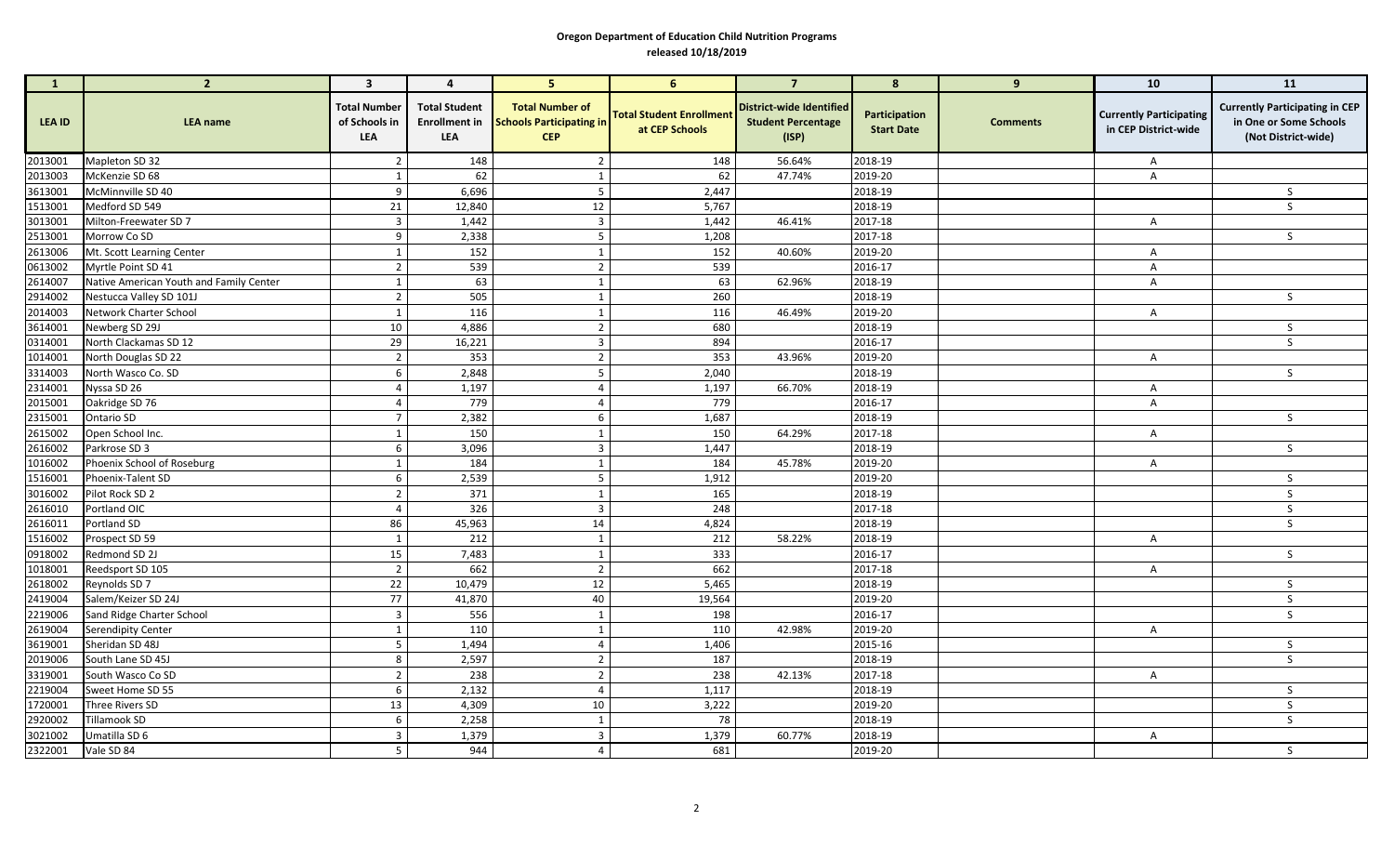## **Oregon Department of Education Child Nutrition Programs released 10/18/2019**

|                    | $\overline{2}$                          | $\mathbf{3}$                                       | $\overline{a}$                                             | 5 <sup>5</sup>                                                          | $6^{\circ}$                                       | $\overline{7}$                                                        | 8                                  | 9               | 10                                                     | 11                                                                                     |
|--------------------|-----------------------------------------|----------------------------------------------------|------------------------------------------------------------|-------------------------------------------------------------------------|---------------------------------------------------|-----------------------------------------------------------------------|------------------------------------|-----------------|--------------------------------------------------------|----------------------------------------------------------------------------------------|
| LEA ID             | <b>LEA name</b>                         | <b>Total Number</b><br>of Schools in<br><b>LEA</b> | <b>Total Student</b><br><b>Enrollment in</b><br><b>LEA</b> | <b>Total Number of</b><br><b>Schools Participating in</b><br><b>CEP</b> | <b>Total Student Enrollment</b><br>at CEP Schools | <b>District-wide Identified</b><br><b>Student Percentage</b><br>(ISP) | Participation<br><b>Start Date</b> | <b>Comments</b> | <b>Currently Participating</b><br>in CEP District-wide | <b>Currently Participating in CEP</b><br>in One or Some Schools<br>(Not District-wide) |
| 2013001            | Mapleton SD 32                          |                                                    | 148                                                        |                                                                         | 148                                               | 56.64%                                                                | 2018-19                            |                 | A                                                      |                                                                                        |
| 2013003            | McKenzie SD 68                          |                                                    | 62                                                         |                                                                         | 62                                                | 47.74%                                                                | 2019-20                            |                 | A                                                      |                                                                                        |
| 3613001            | McMinnville SD 40                       | 9                                                  | 6,696                                                      |                                                                         | 2,447                                             |                                                                       | 2018-19                            |                 |                                                        | -S                                                                                     |
| 1513001            | Medford SD 549                          | 21                                                 | 12,840                                                     | 12                                                                      | 5,767                                             |                                                                       | 2018-19                            |                 |                                                        |                                                                                        |
| 3013001            | Milton-Freewater SD 7                   |                                                    | 1,442                                                      | 3                                                                       | 1,442                                             | 46.41%                                                                | 2017-18                            |                 | A                                                      |                                                                                        |
| 2513001            | Morrow Co SD                            | -9                                                 | 2,338                                                      |                                                                         | 1,208                                             |                                                                       | 2017-18                            |                 |                                                        | S.                                                                                     |
| 2613006            | Mt. Scott Learning Center               |                                                    | 152                                                        |                                                                         | 152                                               | 40.60%                                                                | 2019-20                            |                 | A                                                      |                                                                                        |
| 0613002            | Myrtle Point SD 41                      | $\overline{2}$                                     | 539                                                        | $\overline{2}$                                                          | 539                                               |                                                                       | 2016-17                            |                 | Α                                                      |                                                                                        |
| 2614007            | Native American Youth and Family Center |                                                    | 63                                                         |                                                                         | 63                                                | 62.96%                                                                | 2018-19                            |                 | A                                                      |                                                                                        |
| 2914002            | Nestucca Valley SD 101J                 | $\overline{2}$                                     | 505                                                        |                                                                         | 260                                               |                                                                       | 2018-19                            |                 |                                                        | S                                                                                      |
| 2014003            | Network Charter School                  |                                                    | 116                                                        |                                                                         | 116                                               | 46.49%                                                                | 2019-20                            |                 | A                                                      |                                                                                        |
| 3614001            | Newberg SD 29J                          | 10                                                 | 4,886                                                      | $\overline{2}$                                                          | 680                                               |                                                                       | 2018-19                            |                 |                                                        | S                                                                                      |
| 0314001            | North Clackamas SD 12                   | 29                                                 | 16,221                                                     | 3                                                                       | 894                                               |                                                                       | 2016-17                            |                 |                                                        | $\mathcal{S}$                                                                          |
| 1014001            | North Douglas SD 22                     |                                                    | 353                                                        | $\overline{2}$                                                          | 353                                               | 43.96%                                                                | 2019-20                            |                 | A                                                      |                                                                                        |
| 3314003            | North Wasco Co. SD                      | 6                                                  | 2,848                                                      | 5                                                                       | 2,040                                             |                                                                       | 2018-19                            |                 |                                                        | $\mathsf{S}$                                                                           |
| 2314001            | Nyssa SD 26                             |                                                    | 1,197                                                      | 4                                                                       | 1,197                                             | 66.70%                                                                | 2018-19                            |                 | A                                                      |                                                                                        |
| 2015001            | Oakridge SD 76                          |                                                    | 779                                                        | 4                                                                       | 779                                               |                                                                       | 2016-17                            |                 | A                                                      |                                                                                        |
| 2315001            | <b>Ontario SD</b>                       |                                                    | 2,382                                                      | 6                                                                       | 1,687                                             |                                                                       | 2018-19                            |                 |                                                        |                                                                                        |
| 2615002            | Open School Inc.                        |                                                    | 150                                                        |                                                                         | 150                                               | 64.29%                                                                | 2017-18                            |                 | A                                                      |                                                                                        |
| 2616002            | Parkrose SD 3                           |                                                    | 3,096                                                      | 3                                                                       | 1,447                                             |                                                                       | 2018-19                            |                 |                                                        |                                                                                        |
| 1016002            | Phoenix School of Roseburg              |                                                    | 184                                                        |                                                                         | 184                                               | 45.78%                                                                | 2019-20                            |                 | A                                                      |                                                                                        |
| 1516001            | Phoenix-Talent SD                       | 6                                                  | 2,539                                                      |                                                                         | 1,912                                             |                                                                       | 2019-20                            |                 |                                                        | S                                                                                      |
| 3016002            | Pilot Rock SD 2                         | ົາ                                                 | 371                                                        |                                                                         | 165                                               |                                                                       | 2018-19                            |                 |                                                        | S                                                                                      |
| 2616010            | Portland OIC                            | $\Delta$                                           | 326                                                        | 3                                                                       | 248                                               |                                                                       | 2017-18                            |                 |                                                        |                                                                                        |
| 2616011            | Portland SD                             | 86                                                 | 45,963                                                     | 14                                                                      | 4,824                                             |                                                                       | 2018-19                            |                 |                                                        | S                                                                                      |
|                    | 1516002 Prospect SD 59                  |                                                    | 212                                                        | $\mathbf{1}$                                                            | 212                                               | 58.22%                                                                | 2018-19                            |                 | A                                                      |                                                                                        |
| 0918002            | Redmond SD 2J                           | 15                                                 | 7,483                                                      |                                                                         | 333                                               |                                                                       | 2016-17                            |                 |                                                        | S                                                                                      |
| 1018001            | Reedsport SD 105                        | $\overline{2}$                                     | 662                                                        | $\overline{2}$                                                          | 662                                               |                                                                       | 2017-18                            |                 | A                                                      |                                                                                        |
| 2618002            | Reynolds SD 7                           | 22                                                 | 10,479                                                     | 12                                                                      | 5,465                                             |                                                                       | 2018-19                            |                 |                                                        | S                                                                                      |
| 2419004            | Salem/Keizer SD 24J                     | 77                                                 | 41,870                                                     | 40                                                                      | 19,564                                            |                                                                       | 2019-20                            |                 |                                                        | <sub>S</sub>                                                                           |
| 2219006            | Sand Ridge Charter School               | 3                                                  | 556                                                        |                                                                         | 198                                               |                                                                       | 2016-17                            |                 |                                                        | <sub>S</sub>                                                                           |
| 2619004            | Serendipity Center                      |                                                    | 110                                                        |                                                                         | 110                                               | 42.98%                                                                | 2019-20                            |                 | A                                                      |                                                                                        |
| 3619001            | Sheridan SD 48J                         | 5                                                  | 1,494                                                      | 4                                                                       | 1,406                                             |                                                                       | 2015-16                            |                 |                                                        | S                                                                                      |
| 2019006            | South Lane SD 45J                       | 8                                                  | 2,597                                                      | $\overline{2}$                                                          | 187                                               |                                                                       | 2018-19                            |                 |                                                        | S                                                                                      |
| 3319001            | South Wasco Co SD                       | $\mathcal{L}$                                      | 238                                                        | 2                                                                       | 238                                               | 42.13%                                                                | 2017-18                            |                 | A                                                      |                                                                                        |
| 2219004            | Sweet Home SD 55                        | 6                                                  | 2,132                                                      |                                                                         | 1,117                                             |                                                                       | 2018-19                            |                 |                                                        | S                                                                                      |
| 1720001            | Three Rivers SD                         | 13                                                 | 4,309                                                      | 10                                                                      | 3,222                                             |                                                                       | 2019-20                            |                 |                                                        | -S                                                                                     |
| 2920002            | Tillamook SD                            | 6                                                  | 2,258                                                      |                                                                         | 78                                                |                                                                       | 2018-19                            |                 |                                                        | $\mathsf{S}$                                                                           |
| 3021002            | Umatilla SD 6                           | 3                                                  | 1,379                                                      | 3                                                                       | 1,379                                             | 60.77%                                                                | 2018-19                            |                 | $\mathsf{A}$                                           |                                                                                        |
| 2322001 Vale SD 84 |                                         | 5                                                  | 944                                                        | 4                                                                       | 681                                               |                                                                       | 2019-20                            |                 |                                                        | $\mathsf{S}$                                                                           |